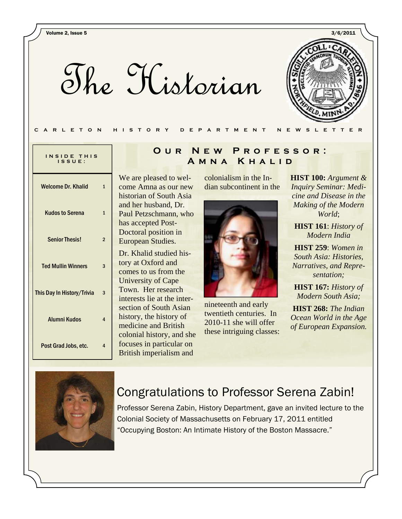The Historian



| INSIDE THIS |  |
|-------------|--|
| ISSUE:      |  |

| Welcome Dr. Khalid         |                |
|----------------------------|----------------|
| <b>Kudos to Serena</b>     | 1              |
| <b>Senior Thesis!</b>      | $\overline{2}$ |
| <b>Ted Mullin Winners</b>  | 3              |
| This Day In History/Trivia |                |
| <b>Alumni Kudos</b>        | 4              |
| Post Grad Jobs, etc.       | 4              |

## **Our New Professor: Amna Khalid**

We are pleased to welcome Amna as our new historian of South Asia and her husband, Dr. Paul Petzschmann, who has accepted Post-Doctoral position in European Studies.

Dr. Khalid studied history at Oxford and comes to us from the University of Cape Town. Her research interests lie at the intersection of South Asian history, the history of medicine and British colonial history, and she focuses in particular on British imperialism and

colonialism in the Indian subcontinent in the



nineteenth and early twentieth centuries. In 2010-11 she will offer these intriguing classes:

**HIST 100:** *Argument & Inquiry Seminar: Medicine and Disease in the Making of the Modern World*;

**HIST 161**: *History of Modern India* 

**HIST 259**: *Women in South Asia: Histories, Narratives, and Representation;*

**HIST 167:** *History of Modern South Asia;* 

**HIST 268:** *The Indian Ocean World in the Age of European Expansion.* 



## Congratulations to Professor Serena Zabin!

Professor Serena Zabin, History Department, gave an invited lecture to the Colonial Society of Massachusetts on February 17, 2011 entitled "Occupying Boston: An Intimate History of the Boston Massacre."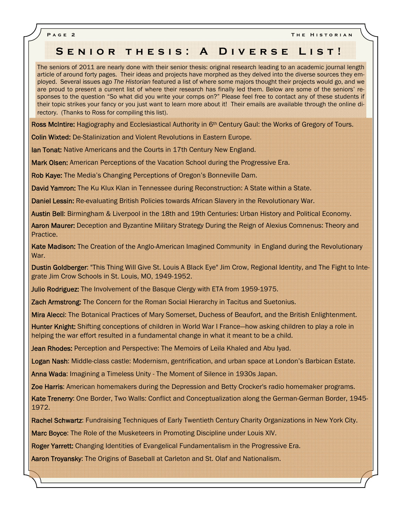**Page 2 The Historian** 

## **Senior thesis: A Diverse List!**

The seniors of 2011 are nearly done with their senior thesis: original research leading to an academic journal length article of around forty pages. Their ideas and projects have morphed as they delved into the diverse sources they employed. Several issues ago *The Historian* featured a list of where some majors thought their projects would go, and we are proud to present a current list of where their research has finally led them. Below are some of the seniors' responses to the question "So what did you write your comps on?" Please feel free to contact any of these students if their topic strikes your fancy or you just want to learn more about it! Their emails are available through the online directory. (Thanks to Ross for compiling this list).

Ross McIntire: Hagiography and Ecclesiastical Authority in 6<sup>th</sup> Century Gaul: the Works of Gregory of Tours.

Colin Wixted: De-Stalinization and Violent Revolutions in Eastern Europe.

**Ian Tonat:** Native Americans and the Courts in 17th Century New England.

Mark Olsen: American Perceptions of the Vacation School during the Progressive Era.

Rob Kaye: The Media's Changing Perceptions of Oregon's Bonneville Dam.

David Yamron: The Ku Klux Klan in Tennessee during Reconstruction: A State within a State.

Daniel Lessin: Re-evaluating British Policies towards African Slavery in the Revolutionary War.

Austin Bell: Birmingham & Liverpool in the 18th and 19th Centuries: Urban History and Political Economy.

Aaron Maurer: Deception and Byzantine Military Strategy During the Reign of Alexius Comnenus: Theory and Practice.

Kate Madison: The Creation of the Anglo-American Imagined Community in England during the Revolutionary War.

Dustin Goldberger: "This Thing Will Give St. Louis A Black Eye" Jim Crow, Regional Identity, and The Fight to Integrate Jim Crow Schools in St. Louis, MO, 1949-1952.

Julio Rodriguez: The Involvement of the Basque Clergy with ETA from 1959-1975.

Zach Armstrong: The Concern for the Roman Social Hierarchy in Tacitus and Suetonius.

Mira Alecci: The Botanical Practices of Mary Somerset, Duchess of Beaufort, and the British Enlightenment.

Hunter Knight: Shifting conceptions of children in World War I France—how asking children to play a role in helping the war effort resulted in a fundamental change in what it meant to be a child.

Jean Rhodes: Perception and Perspective: The Memoirs of Leila Khaled and Abu Iyad.

Logan Nash: Middle-class castle: Modernism, gentrification, and urban space at London's Barbican Estate.

Anna Wada: Imagining a Timeless Unity - The Moment of Silence in 1930s Japan.

Zoe Harris: American homemakers during the Depression and Betty Crocker's radio homemaker programs.

Kate Trenerry: One Border, Two Walls: Conflict and Conceptualization along the German-German Border, 1945- 1972.

Rachel Schwartz: Fundraising Techniques of Early Twentieth Century Charity Organizations in New York City.

Marc Boyce: The Role of the Musketeers in Promoting Discipline under Louis XIV.

Roger Yarrett: Changing Identities of Evangelical Fundamentalism in the Progressive Era.

Aaron Troyansky: The Origins of Baseball at Carleton and St. Olaf and Nationalism.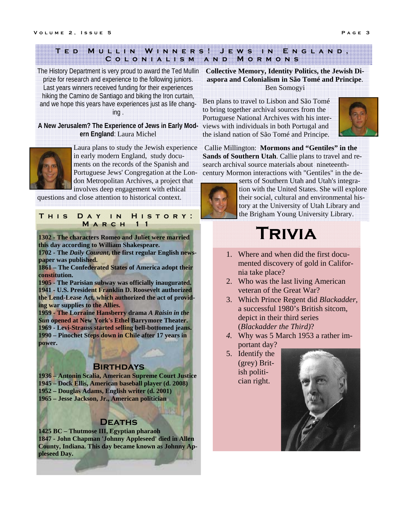#### **Ted Mullin Winners! Jews in England, Colonialism and Mormons**

The History Department is very proud to award the Ted Mullin prize for research and experience to the following juniors. Last years winners received funding for their experiences hiking the Camino de Santiago and biking the Iron curtain, and we hope this years have experiences just as life changing .

#### **A New Jerusalem? The Experience of Jews in Early Modern England**: Laura Michel



Laura plans to study the Jewish experience in early modern England, study documents on the records of the Spanish and Portuguese Jews' Congregation at the London Metropolitan Archives, a project that involves deep engagement with ethical

questions and close attention to historical context.

#### **This Day in History: March 11**

**1302 - The characters Romeo and Juliet were married this day according to William Shakespeare.** 

**1702 - The** *Daily Courant***, the first regular English newspaper was published.** 

**1861 – The Confederated States of America adopt their constitution.** 

**1905 - The Parisian subway was officially inaugurated. 1941 - U.S. President Franklin D. Roosevelt authorized the Lend-Lease Act, which authorized the act of providing war supplies to the Allies.** 

**1959 - The Lorraine Hansberry drama** *A Raisin in the Sun* **opened at New York's Ethel Barrymore Theater. 1969 - Levi-Strauss started selling bell-bottomed jeans. 1990 – Pinochet Steps down in Chile after 17 years in power.** 

## **Birthdays**

**1936 – Antonin Scalia, American Supreme Court Justice 1945 – Dock Ellis, American baseball player (d. 2008) 1952 – Douglas Adams, English writer (d. 2001) 1965 – Jesse Jackson, Jr., American politician** 

## **Deaths**

**1425 BC – Thutmose III, Egyptian pharaoh 1847 - John Chapman 'Johnny Appleseed' died in Allen County, Indiana. This day became known as Johnny Appleseed Day.** 

#### **Collective Memory, Identity Politics, the Jewish Diaspora and Colonialism in São Tomé and Principe**. Ben Somogyi

Ben plans to travel to Lisbon and São Tomé to bring together archival sources from the Portuguese National Archives with his interviews with individuals in both Portugal and the island nation of São Tomé and Principe.



 Callie Millington: **Mormons and "Gentiles" in the Sands of Southern Utah**. Callie plans to travel and research archival source materials about nineteenthcentury Mormon interactions with "Gentiles" in the de-



serts of Southern Utah and Utah's integration with the United States. She will explore their social, cultural and environmental history at the University of Utah Library and the Brigham Young University Library.

# **Trivia**

- 1. Where and when did the first documented discovery of gold in California take place?
- 2. Who was the last living American veteran of the Great War?
- 3. Which Prince Regent did *Blackadder,*  a successful 1980's British sitcom, depict in their third series (*Blackadder the Third)*?
- *4.* Why was 5 March 1953 a rather important day?
- 5. Identify the (grey) British politician right.